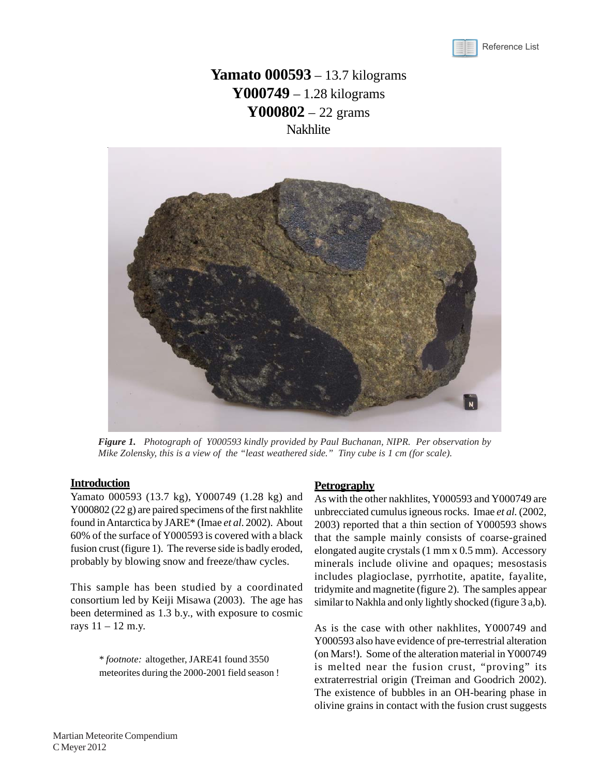

# **Yamato 000593** – 13.7 kilograms **Y000749** – 1.28 kilograms **Y000802** – 22 grams **Nakhlite**



*Figure 1. Photograph of Y000593 kindly provided by Paul Buchanan, NIPR. Per observation by Mike Zolensky, this is a view of the "least weathered side." Tiny cube is 1 cm (for scale).*

## **Introduction**

Yamato 000593 (13.7 kg), Y000749 (1.28 kg) and Y000802 (22 g) are paired specimens of the first nakhlite found in Antarctica by JARE\* (Imae *et al*. 2002). About 60% of the surface of Y000593 is covered with a black fusion crust (figure 1). The reverse side is badly eroded, probably by blowing snow and freeze/thaw cycles.

This sample has been studied by a coordinated consortium led by Keiji Misawa (2003). The age has been determined as 1.3 b.y., with exposure to cosmic rays  $11 - 12$  m.y.

> \* *footnote:* altogether, JARE41 found 3550 meteorites during the 2000-2001 field season !

## **Petrography**

As with the other nakhlites, Y000593 and Y000749 are unbrecciated cumulus igneous rocks. Imae *et al.* (2002, 2003) reported that a thin section of Y000593 shows that the sample mainly consists of coarse-grained elongated augite crystals (1 mm x 0.5 mm). Accessory minerals include olivine and opaques; mesostasis includes plagioclase, pyrrhotite, apatite, fayalite, tridymite and magnetite (figure 2). The samples appear similar to Nakhla and only lightly shocked (figure 3 a,b).

As is the case with other nakhlites, Y000749 and Y000593 also have evidence of pre-terrestrial alteration (on Mars!). Some of the alteration material in Y000749 is melted near the fusion crust, "proving" its extraterrestrial origin (Treiman and Goodrich 2002). The existence of bubbles in an OH-bearing phase in olivine grains in contact with the fusion crust suggests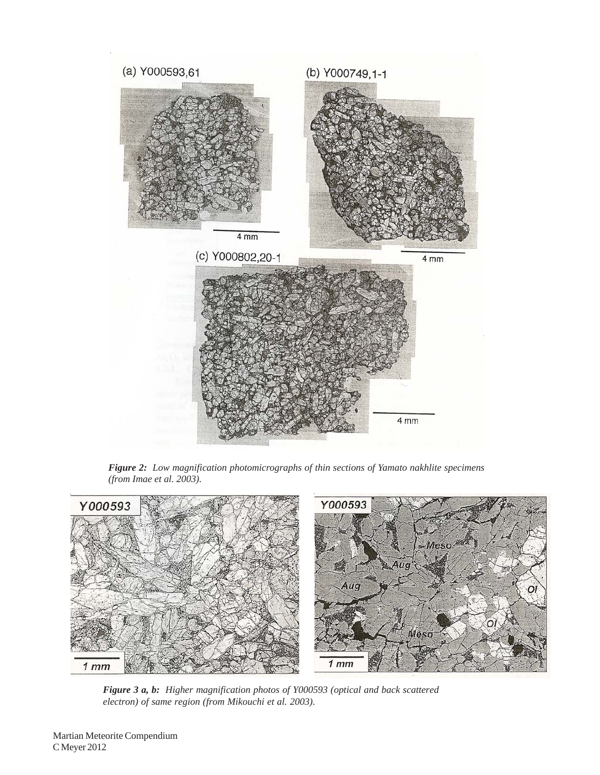

*Figure 2: Low magnification photomicrographs of thin sections of Yamato nakhlite specimens (from Imae et al. 2003).*



*Figure 3 a, b: Higher magnification photos of Y000593 (optical and back scattered electron) of same region (from Mikouchi et al. 2003).*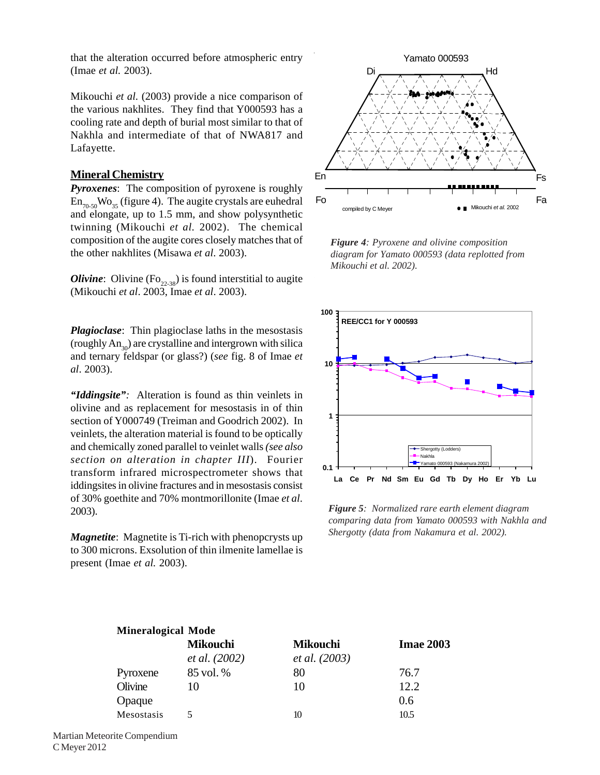that the alteration occurred before atmospheric entry (Imae *et al.* 2003).

Mikouchi *et al.* (2003) provide a nice comparison of the various nakhlites. They find that Y000593 has a cooling rate and depth of burial most similar to that of Nakhla and intermediate of that of NWA817 and Lafayette.

## **Mineral Chemistry**

*Pyroxenes*: The composition of pyroxene is roughly  $En_{70.50}Wo_{35}$  (figure 4). The augite crystals are euhedral and elongate, up to 1.5 mm, and show polysynthetic twinning (Mikouchi *et al.* 2002). The chemical composition of the augite cores closely matches that of the other nakhlites (Misawa *et al*. 2003).

*Olivine*: Olivine ( $\text{Fo}_{22,38}$ ) is found interstitial to augite (Mikouchi *et al*. 2003, Imae *et al*. 2003).

*Plagioclase*: Thin plagioclase laths in the mesostasis (roughly  $An_{20}$ ) are crystalline and intergrown with silica and ternary feldspar (or glass?) (*see* fig. 8 of Imae *et al*. 2003).

*"Iddingsite":* Alteration is found as thin veinlets in olivine and as replacement for mesostasis in of thin section of Y000749 (Treiman and Goodrich 2002). In veinlets, the alteration material is found to be optically and chemically zoned parallel to veinlet walls *(see also section on alteration in chapter III*). Fourier transform infrared microspectrometer shows that iddingsites in olivine fractures and in mesostasis consist of 30% goethite and 70% montmorillonite (Imae *et al*. 2003).

*Magnetite*: Magnetite is Ti-rich with phenopcrysts up to 300 microns. Exsolution of thin ilmenite lamellae is present (Imae *et al.* 2003).

**Mineralogical Mode**



*Figure 4: Pyroxene and olivine composition diagram for Yamato 000593 (data replotted from Mikouchi et al. 2002).*



*Figure 5: Normalized rare earth element diagram comparing data from Yamato 000593 with Nakhla and Shergotty (data from Nakamura et al. 2002).*

| <b>Mineralogical Mode</b> |                      |                      |                  |  |  |
|---------------------------|----------------------|----------------------|------------------|--|--|
|                           | <b>Mikouchi</b>      | <b>Mikouchi</b>      | <b>Imae 2003</b> |  |  |
|                           | <i>et al.</i> (2002) | <i>et al.</i> (2003) |                  |  |  |
| Pyroxene                  | 85 vol. %            | 80                   | 76.7             |  |  |
| Olivine                   | 10                   | 10                   | 12.2             |  |  |
| Opaque                    |                      |                      | 0.6              |  |  |
| Mesostasis                |                      | 10                   | 10.5             |  |  |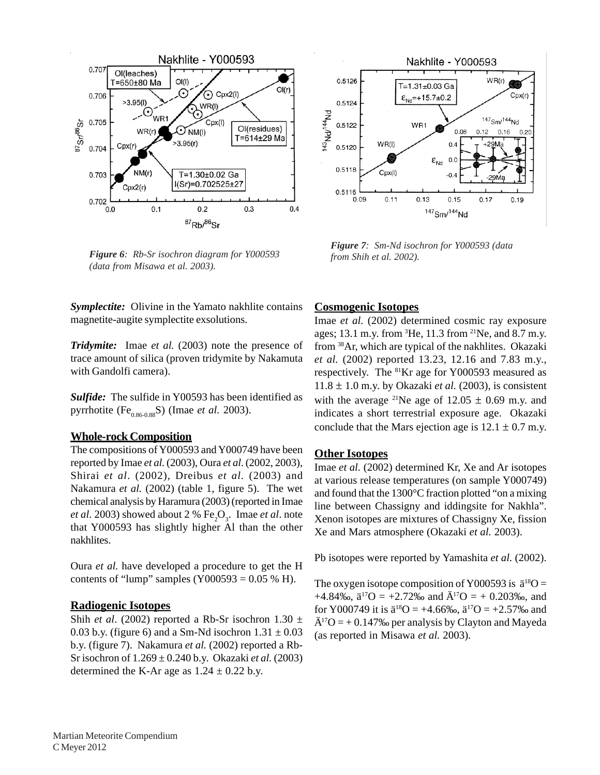

*Figure 6 from Shih et al. 2002). : Rb-Sr isochron diagram for Y000593 (data from Misawa et al. 2003).*

Nakhlite - Y000593 0.5126  $WR(r)$ T=1.31±0.03 Ga  $\epsilon_{\text{Nd}} = +15.7 \pm 0.2$  $Cpx(r)$ 0.5124  $143$ Nd/ $144$ Nd 147<sub>Sm</sub>/144<sub>Nd</sub> 0.5122 WR1 0.08  $0.12$  $0.16$  $0.20$  $WR(1)$  $0.4$ -29Ma 0.5120  $\boldsymbol{\epsilon}_{\text{Nd}}$  $0.0$ 0.5118 Cpx(I)  $-0.4$ 0.5116  $0.11$  $0.13$  $0.09$  $0.15$  $0.17$  $0.19$ 147<sub>Sm/144</sub>Nd

*Figure 7: Sm-Nd isochron for Y000593 (data*

*Symplectite:* Olivine in the Yamato nakhlite contains magnetite-augite symplectite exsolutions.

*Tridymite:* Imae *et al.* (2003) note the presence of trace amount of silica (proven tridymite by Nakamuta with Gandolfi camera).

*Sulfide:* The sulfide in Y00593 has been identified as pyrrhotite (Fe<sub>0.86-0.88</sub>S) (Imae *et al.* 2003).

## **Whole-rock Composition**

The compositions of Y000593 and Y000749 have been reported by Imae *et al.* (2003), Oura *et al*. (2002, 2003), Shirai *et al*. (2002), Dreibus *et al.* (2003) and Nakamura *et al.* (2002) (table 1, figure 5). The wet chemical analysis by Haramura (2003) (reported in Imae *et al.* 2003) showed about 2 %  $Fe<sub>2</sub>O<sub>3</sub>$ . Imae *et al.* note that Y000593 has slightly higher Al than the other nakhlites.

Oura *et al.* have developed a procedure to get the H contents of "lump" samples  $(Y000593 = 0.05 % H)$ .

## **Radiogenic Isotopes**

Shih *et al.* (2002) reported a Rb-Sr isochron  $1.30 \pm$ 0.03 b.y. (figure 6) and a Sm-Nd isochron  $1.31 \pm 0.03$ b.y. (figure 7). Nakamura *et al.* (2002) reported a Rb-Sr isochron of 1.269 ± 0.240 b.y. Okazaki *et al.* (2003) determined the K-Ar age as  $1.24 \pm 0.22$  b.y.

## **Cosmogenic Isotopes**

Imae *et al.* (2002) determined cosmic ray exposure ages; 13.1 m.y. from <sup>3</sup>He, 11.3 from <sup>21</sup>Ne, and 8.7 m.y. from 38Ar, which are typical of the nakhlites. Okazaki *et al.* (2002) reported 13.23, 12.16 and 7.83 m.y., respectively. The <sup>81</sup>Kr age for Y000593 measured as  $11.8 \pm 1.0$  m.y. by Okazaki *et al.* (2003), is consistent with the average <sup>21</sup>Ne age of  $12.05 \pm 0.69$  m.y. and indicates a short terrestrial exposure age. Okazaki conclude that the Mars ejection age is  $12.1 \pm 0.7$  m.y.

## **Other Isotopes**

Imae *et al.* (2002) determined Kr, Xe and Ar isotopes at various release temperatures (on sample Y000749) and found that the 1300°C fraction plotted "on a mixing line between Chassigny and iddingsite for Nakhla". Xenon isotopes are mixtures of Chassigny Xe, fission Xe and Mars atmosphere (Okazaki *et al.* 2003).

Pb isotopes were reported by Yamashita *et al.* (2002).

The oxygen isotope composition of Y000593 is  $\ddot{a}^{18}O =$ +4.84‰,  $\ddot{a}^{17}O = +2.72$ ‰ and  $\ddot{A}^{17}O = +0.203$ ‰, and for Y000749 it is  $\ddot{a}^{18}O = +4.66\%$ ,  $\ddot{a}^{17}O = +2.57\%$  and  $\ddot{A}^{17}O = +0.147\%$  per analysis by Clayton and Mayeda (as reported in Misawa *et al.* 2003).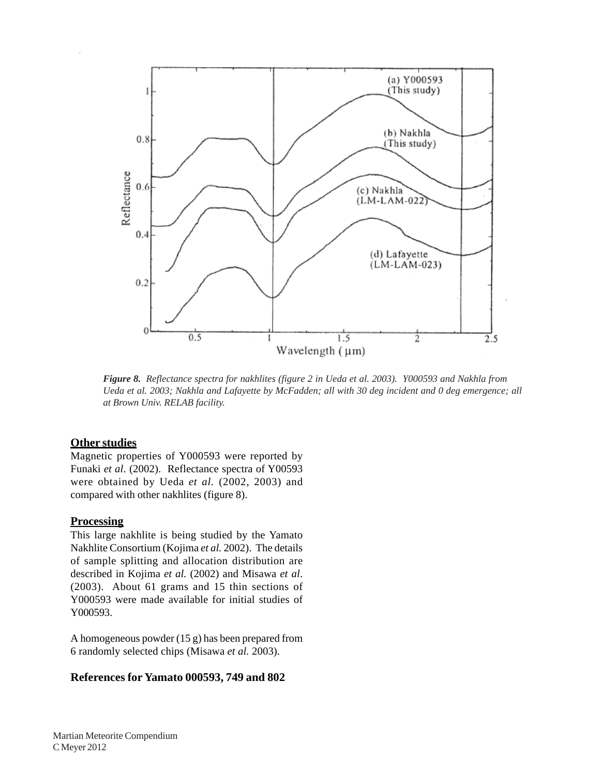

*Figure 8. Reflectance spectra for nakhlites (figure 2 in Ueda et al. 2003). Y000593 and Nakhla from Ueda et al. 2003; Nakhla and Lafayette by McFadden; all with 30 deg incident and 0 deg emergence; all at Brown Univ. RELAB facility.*

## **Other studies**

Magnetic properties of Y000593 were reported by Funaki *et al*. (2002). Reflectance spectra of Y00593 were obtained by Ueda *et al.* (2002, 2003) and compared with other nakhlites (figure 8).

## **Processing**

This large nakhlite is being studied by the Yamato Nakhlite Consortium (Kojima *et al.* 2002). The details of sample splitting and allocation distribution are described in Kojima *et al.* (2002) and Misawa *et al*. (2003). About 61 grams and 15 thin sections of Y000593 were made available for initial studies of Y000593.

A homogeneous powder (15 g) has been prepared from 6 randomly selected chips (Misawa *et al.* 2003).

## **[References for Yamato 000593, 749 and 802](http://curator.jsc.nasa.gov/antmet/mmc/refs/REFY000593.pdf)**